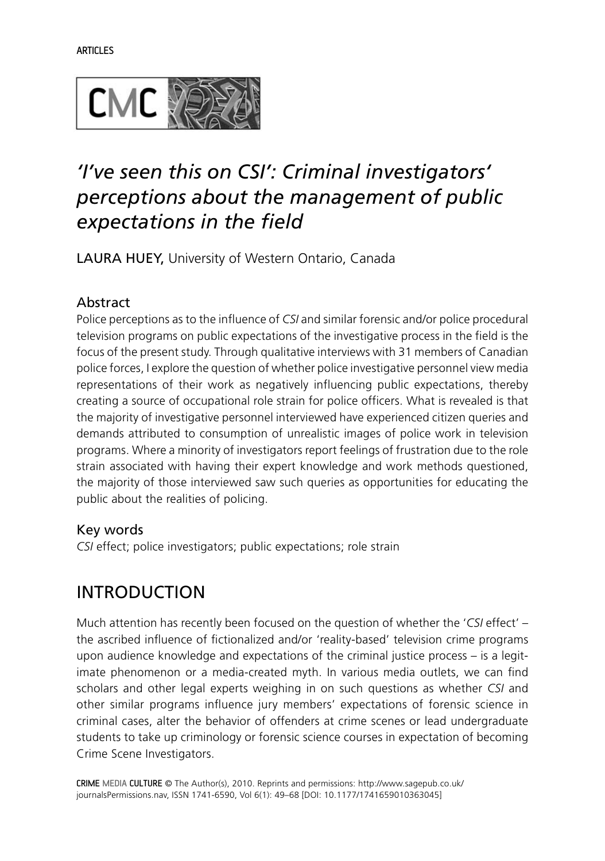

# *'I've seen this on CSI': Criminal investigators' perceptions about the management of public expectations in the field*

LAURA HUEY, University of Western Ontario, Canada

#### Abstract

Police perceptions as to the influence of *CSI* and similar forensic and/or police procedural television programs on public expectations of the investigative process in the field is the focus of the present study. Through qualitative interviews with 31 members of Canadian police forces, I explore the question of whether police investigative personnel view media representations of their work as negatively influencing public expectations, thereby creating a source of occupational role strain for police officers. What is revealed is that the majority of investigative personnel interviewed have experienced citizen queries and demands attributed to consumption of unrealistic images of police work in television programs. Where a minority of investigators report feelings of frustration due to the role strain associated with having their expert knowledge and work methods questioned, the majority of those interviewed saw such queries as opportunities for educating the public about the realities of policing.

#### Key words

*CSI* effect; police investigators; public expectations; role strain

### INTRODUCTION

Much attention has recently been focused on the question of whether the '*CSI* effect' – the ascribed influence of fictionalized and/or 'reality-based' television crime programs upon audience knowledge and expectations of the criminal justice process – is a legitimate phenomenon or a media-created myth. In various media outlets, we can find scholars and other legal experts weighing in on such questions as whether *CSI* and other similar programs influence jury members' expectations of forensic science in criminal cases, alter the behavior of offenders at crime scenes or lead undergraduate students to take up criminology or forensic science courses in expectation of becoming Crime Scene Investigators.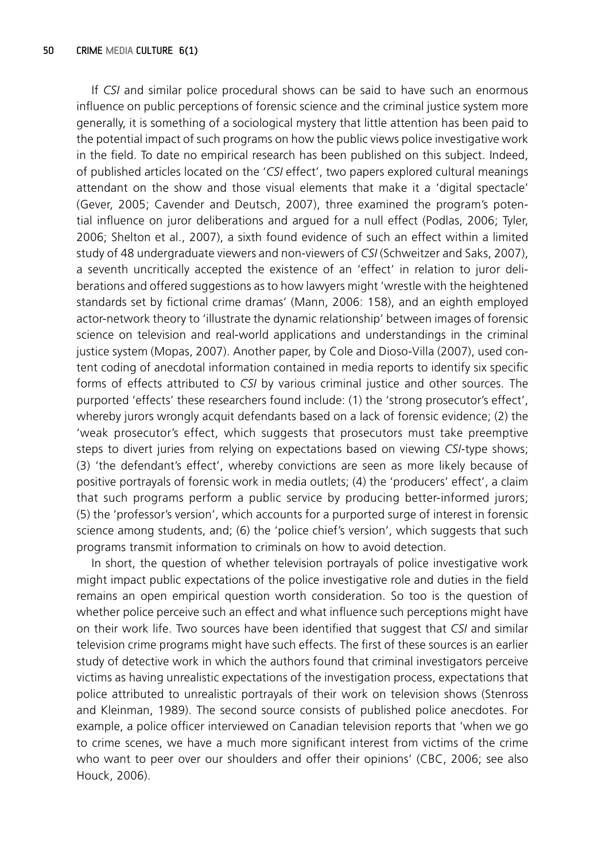If *CSI* and similar police procedural shows can be said to have such an enormous influence on public perceptions of forensic science and the criminal justice system more generally, it is something of a sociological mystery that little attention has been paid to the potential impact of such programs on how the public views police investigative work in the field. To date no empirical research has been published on this subject. Indeed, of published articles located on the '*CSI* effect', two papers explored cultural meanings attendant on the show and those visual elements that make it a 'digital spectacle' (Gever, 2005; Cavender and Deutsch, 2007), three examined the program's potential influence on juror deliberations and argued for a null effect (Podlas, 2006; Tyler, 2006; Shelton et al., 2007), a sixth found evidence of such an effect within a limited study of 48 undergraduate viewers and non-viewers of *CSI* (Schweitzer and Saks, 2007), a seventh uncritically accepted the existence of an 'effect' in relation to juror deliberations and offered suggestions as to how lawyers might 'wrestle with the heightened standards set by fictional crime dramas' (Mann, 2006: 158), and an eighth employed actor-network theory to 'illustrate the dynamic relationship' between images of forensic science on television and real-world applications and understandings in the criminal justice system (Mopas, 2007). Another paper, by Cole and Dioso-Villa (2007), used content coding of anecdotal information contained in media reports to identify six specific forms of effects attributed to *CSI* by various criminal justice and other sources. The purported 'effects' these researchers found include: (1) the 'strong prosecutor's effect', whereby jurors wrongly acquit defendants based on a lack of forensic evidence; (2) the 'weak prosecutor's effect, which suggests that prosecutors must take preemptive steps to divert juries from relying on expectations based on viewing *CSI*-type shows; (3) 'the defendant's effect', whereby convictions are seen as more likely because of positive portrayals of forensic work in media outlets; (4) the 'producers' effect', a claim that such programs perform a public service by producing better-informed jurors; (5) the 'professor's version', which accounts for a purported surge of interest in forensic science among students, and; (6) the 'police chief's version', which suggests that such programs transmit information to criminals on how to avoid detection.

In short, the question of whether television portrayals of police investigative work might impact public expectations of the police investigative role and duties in the field remains an open empirical question worth consideration. So too is the question of whether police perceive such an effect and what influence such perceptions might have on their work life. Two sources have been identified that suggest that *CSI* and similar television crime programs might have such effects. The first of these sources is an earlier study of detective work in which the authors found that criminal investigators perceive victims as having unrealistic expectations of the investigation process, expectations that police attributed to unrealistic portrayals of their work on television shows (Stenross and Kleinman, 1989). The second source consists of published police anecdotes. For example, a police officer interviewed on Canadian television reports that 'when we go to crime scenes, we have a much more significant interest from victims of the crime who want to peer over our shoulders and offer their opinions' (CBC, 2006; see also Houck, 2006).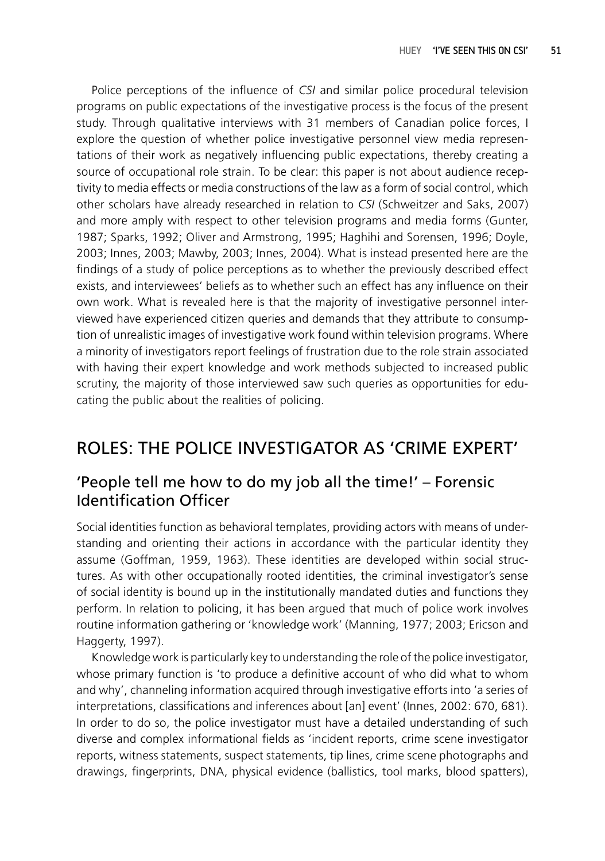Police perceptions of the influence of *CSI* and similar police procedural television programs on public expectations of the investigative process is the focus of the present study. Through qualitative interviews with 31 members of Canadian police forces, I explore the question of whether police investigative personnel view media representations of their work as negatively influencing public expectations, thereby creating a source of occupational role strain. To be clear: this paper is not about audience receptivity to media effects or media constructions of the law as a form of social control, which other scholars have already researched in relation to *CSI* (Schweitzer and Saks, 2007) and more amply with respect to other television programs and media forms (Gunter, 1987; Sparks, 1992; Oliver and Armstrong, 1995; Haghihi and Sorensen, 1996; Doyle, 2003; Innes, 2003; Mawby, 2003; Innes, 2004). What is instead presented here are the findings of a study of police perceptions as to whether the previously described effect exists, and interviewees' beliefs as to whether such an effect has any influence on their own work. What is revealed here is that the majority of investigative personnel interviewed have experienced citizen queries and demands that they attribute to consumption of unrealistic images of investigative work found within television programs. Where a minority of investigators report feelings of frustration due to the role strain associated with having their expert knowledge and work methods subjected to increased public scrutiny, the majority of those interviewed saw such queries as opportunities for educating the public about the realities of policing.

### ROLES: THE POLICE INVESTIGATOR AS 'CRIME EXPERT'

#### 'People tell me how to do my job all the time!' – Forensic Identification Officer

Social identities function as behavioral templates, providing actors with means of understanding and orienting their actions in accordance with the particular identity they assume (Goffman, 1959, 1963). These identities are developed within social structures. As with other occupationally rooted identities, the criminal investigator's sense of social identity is bound up in the institutionally mandated duties and functions they perform. In relation to policing, it has been argued that much of police work involves routine information gathering or 'knowledge work' (Manning, 1977; 2003; Ericson and Haggerty, 1997).

Knowledge work is particularly key to understanding the role of the police investigator, whose primary function is 'to produce a definitive account of who did what to whom and why', channeling information acquired through investigative efforts into 'a series of interpretations, classifications and inferences about [an] event' (Innes, 2002: 670, 681). In order to do so, the police investigator must have a detailed understanding of such diverse and complex informational fields as 'incident reports, crime scene investigator reports, witness statements, suspect statements, tip lines, crime scene photographs and drawings, fingerprints, DNA, physical evidence (ballistics, tool marks, blood spatters),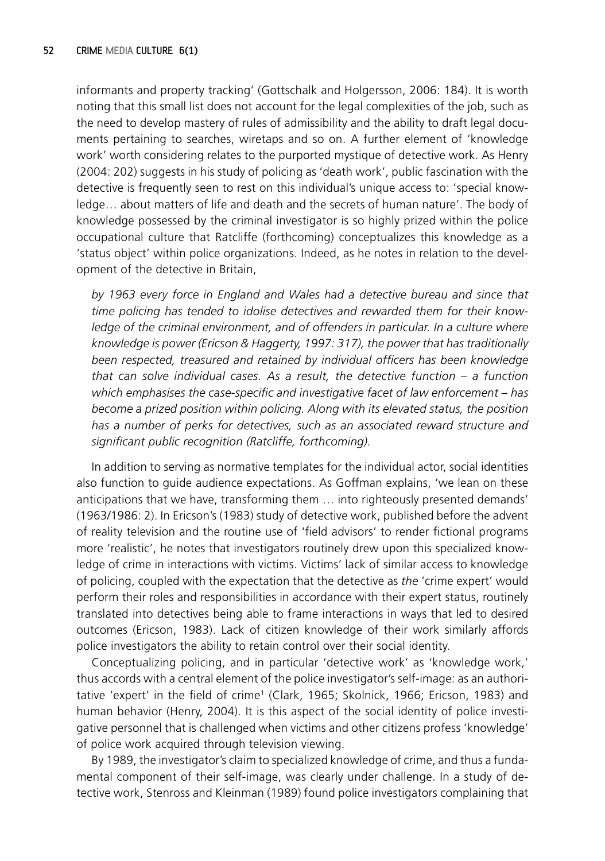informants and property tracking' (Gottschalk and Holgersson, 2006: 184). It is worth noting that this small list does not account for the legal complexities of the job, such as the need to develop mastery of rules of admissibility and the ability to draft legal documents pertaining to searches, wiretaps and so on. A further element of 'knowledge work' worth considering relates to the purported mystique of detective work. As Henry (2004: 202) suggests in his study of policing as 'death work', public fascination with the detective is frequently seen to rest on this individual's unique access to: 'special knowledge… about matters of life and death and the secrets of human nature'. The body of knowledge possessed by the criminal investigator is so highly prized within the police occupational culture that Ratcliffe (forthcoming) conceptualizes this knowledge as a 'status object' within police organizations. Indeed, as he notes in relation to the development of the detective in Britain,

*by 1963 every force in England and Wales had a detective bureau and since that time policing has tended to idolise detectives and rewarded them for their knowledge of the criminal environment, and of offenders in particular. In a culture where knowledge is power (Ericson & Haggerty, 1997: 317), the power that has traditionally*  been respected, treasured and retained by individual officers has been knowledge *that can solve individual cases. As a result, the detective function – a function*  which emphasises the case-specific and investigative facet of law enforcement – has *become a prized position within policing. Along with its elevated status, the position has a number of perks for detectives, such as an associated reward structure and*  significant public recognition (Ratcliffe, forthcoming).

In addition to serving as normative templates for the individual actor, social identities also function to guide audience expectations. As Goffman explains, 'we lean on these anticipations that we have, transforming them … into righteously presented demands' (1963/1986: 2). In Ericson's (1983) study of detective work, published before the advent of reality television and the routine use of 'field advisors' to render fictional programs more 'realistic', he notes that investigators routinely drew upon this specialized knowledge of crime in interactions with victims. Victims' lack of similar access to knowledge of policing, coupled with the expectation that the detective as *the* 'crime expert' would perform their roles and responsibilities in accordance with their expert status, routinely translated into detectives being able to frame interactions in ways that led to desired outcomes (Ericson, 1983). Lack of citizen knowledge of their work similarly affords police investigators the ability to retain control over their social identity.

Conceptualizing policing, and in particular 'detective work' as 'knowledge work,' thus accords with a central element of the police investigator's self-image: as an authoritative 'expert' in the field of crime<sup>1</sup> (Clark, 1965; Skolnick, 1966; Ericson, 1983) and human behavior (Henry, 2004). It is this aspect of the social identity of police investigative personnel that is challenged when victims and other citizens profess 'knowledge' of police work acquired through television viewing.

By 1989, the investigator's claim to specialized knowledge of crime, and thus a fundamental component of their self-image, was clearly under challenge. In a study of detective work, Stenross and Kleinman (1989) found police investigators complaining that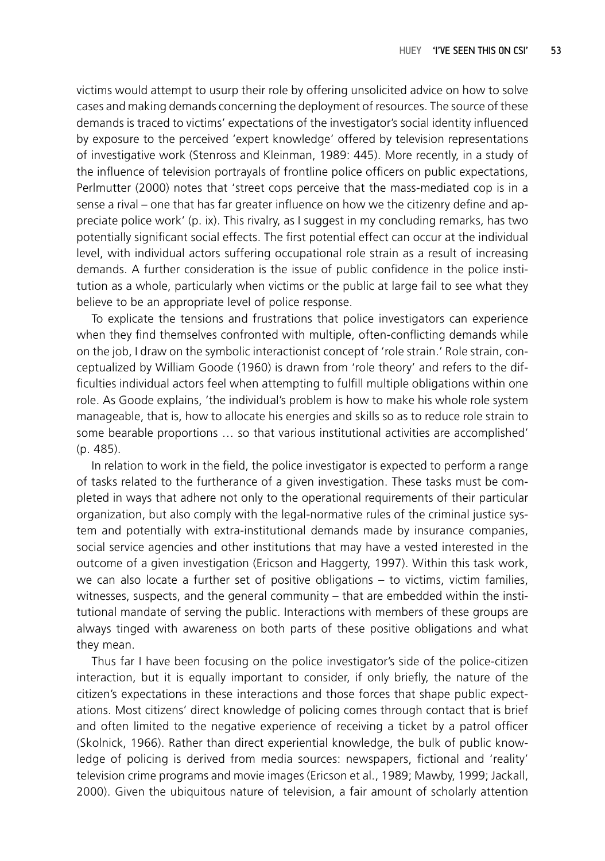victims would attempt to usurp their role by offering unsolicited advice on how to solve cases and making demands concerning the deployment of resources. The source of these demands is traced to victims' expectations of the investigator's social identity influenced by exposure to the perceived 'expert knowledge' offered by television representations of investigative work (Stenross and Kleinman, 1989: 445). More recently, in a study of the influence of television portrayals of frontline police officers on public expectations, Perlmutter (2000) notes that 'street cops perceive that the mass-mediated cop is in a sense a rival – one that has far greater influence on how we the citizenry define and appreciate police work' (p. ix). This rivalry, as I suggest in my concluding remarks, has two potentially significant social effects. The first potential effect can occur at the individual level, with individual actors suffering occupational role strain as a result of increasing demands. A further consideration is the issue of public confidence in the police institution as a whole, particularly when victims or the public at large fail to see what they believe to be an appropriate level of police response.

To explicate the tensions and frustrations that police investigators can experience when they find themselves confronted with multiple, often-conflicting demands while on the job, I draw on the symbolic interactionist concept of 'role strain.' Role strain, conceptualized by William Goode (1960) is drawn from 'role theory' and refers to the difficulties individual actors feel when attempting to fulfill multiple obligations within one role. As Goode explains, 'the individual's problem is how to make his whole role system manageable, that is, how to allocate his energies and skills so as to reduce role strain to some bearable proportions … so that various institutional activities are accomplished' (p. 485).

In relation to work in the field, the police investigator is expected to perform a range of tasks related to the furtherance of a given investigation. These tasks must be completed in ways that adhere not only to the operational requirements of their particular organization, but also comply with the legal-normative rules of the criminal justice system and potentially with extra-institutional demands made by insurance companies, social service agencies and other institutions that may have a vested interested in the outcome of a given investigation (Ericson and Haggerty, 1997). Within this task work, we can also locate a further set of positive obligations – to victims, victim families, witnesses, suspects, and the general community – that are embedded within the institutional mandate of serving the public. Interactions with members of these groups are always tinged with awareness on both parts of these positive obligations and what they mean.

Thus far I have been focusing on the police investigator's side of the police-citizen interaction, but it is equally important to consider, if only briefly, the nature of the citizen's expectations in these interactions and those forces that shape public expectations. Most citizens' direct knowledge of policing comes through contact that is brief and often limited to the negative experience of receiving a ticket by a patrol officer (Skolnick, 1966). Rather than direct experiential knowledge, the bulk of public knowledge of policing is derived from media sources: newspapers, fictional and 'reality' television crime programs and movie images (Ericson et al., 1989; Mawby, 1999; Jackall, 2000). Given the ubiquitous nature of television, a fair amount of scholarly attention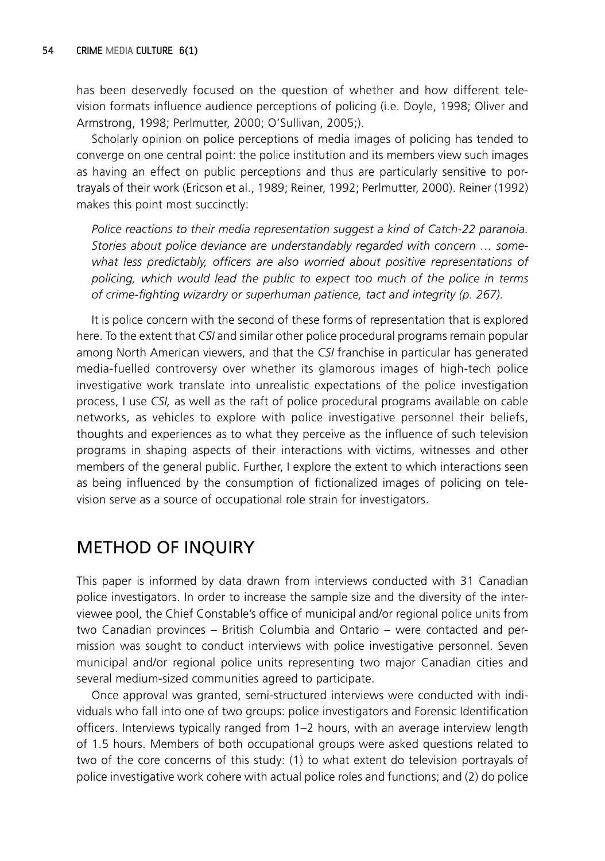has been deservedly focused on the question of whether and how different television formats influence audience perceptions of policing (i.e. Doyle, 1998; Oliver and Armstrong, 1998; Perlmutter, 2000; O'Sullivan, 2005;).

Scholarly opinion on police perceptions of media images of policing has tended to converge on one central point: the police institution and its members view such images as having an effect on public perceptions and thus are particularly sensitive to portrayals of their work (Ericson et al., 1989; Reiner, 1992; Perlmutter, 2000). Reiner (1992) makes this point most succinctly:

*Police reactions to their media representation suggest a kind of Catch-22 paranoia. Stories about police deviance are understandably regarded with concern … some*what less predictably, officers are also worried about positive representations of *policing, which would lead the public to expect too much of the police in terms*  of crime-fighting wizardry or superhuman patience, tact and integrity (p. 267).

It is police concern with the second of these forms of representation that is explored here. To the extent that *CSI* and similar other police procedural programs remain popular among North American viewers, and that the *CSI* franchise in particular has generated media-fuelled controversy over whether its glamorous images of high-tech police investigative work translate into unrealistic expectations of the police investigation process, I use *CSI,* as well as the raft of police procedural programs available on cable networks, as vehicles to explore with police investigative personnel their beliefs, thoughts and experiences as to what they perceive as the influence of such television programs in shaping aspects of their interactions with victims, witnesses and other members of the general public. Further, I explore the extent to which interactions seen as being influenced by the consumption of fictionalized images of policing on television serve as a source of occupational role strain for investigators.

# METHOD OF INQUIRY

This paper is informed by data drawn from interviews conducted with 31 Canadian police investigators. In order to increase the sample size and the diversity of the interviewee pool, the Chief Constable's office of municipal and/or regional police units from two Canadian provinces – British Columbia and Ontario – were contacted and permission was sought to conduct interviews with police investigative personnel. Seven municipal and/or regional police units representing two major Canadian cities and several medium-sized communities agreed to participate.

Once approval was granted, semi-structured interviews were conducted with individuals who fall into one of two groups: police investigators and Forensic Identification officers. Interviews typically ranged from 1–2 hours, with an average interview length of 1.5 hours. Members of both occupational groups were asked questions related to two of the core concerns of this study: (1) to what extent do television portrayals of police investigative work cohere with actual police roles and functions; and (2) do police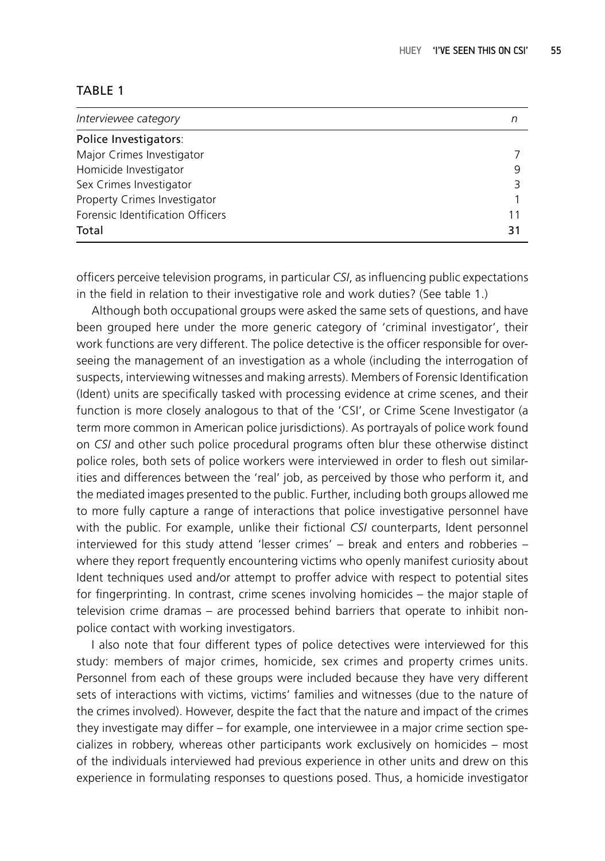| Interviewee category             |    |
|----------------------------------|----|
| Police Investigators:            |    |
| Major Crimes Investigator        |    |
| Homicide Investigator            | 9  |
| Sex Crimes Investigator          |    |
| Property Crimes Investigator     |    |
| Forensic Identification Officers |    |
| Total                            | 31 |

officers perceive television programs, in particular *CSI*, as influencing public expectations in the field in relation to their investigative role and work duties? (See table 1.)

Although both occupational groups were asked the same sets of questions, and have been grouped here under the more generic category of 'criminal investigator', their work functions are very different. The police detective is the officer responsible for overseeing the management of an investigation as a whole (including the interrogation of suspects, interviewing witnesses and making arrests). Members of Forensic Identification (Ident) units are specifically tasked with processing evidence at crime scenes, and their function is more closely analogous to that of the 'CSI', or Crime Scene Investigator (a term more common in American police jurisdictions). As portrayals of police work found on *CSI* and other such police procedural programs often blur these otherwise distinct police roles, both sets of police workers were interviewed in order to flesh out similarities and differences between the 'real' job, as perceived by those who perform it, and the mediated images presented to the public. Further, including both groups allowed me to more fully capture a range of interactions that police investigative personnel have with the public. For example, unlike their fictional CSI counterparts, Ident personnel interviewed for this study attend 'lesser crimes' – break and enters and robberies – where they report frequently encountering victims who openly manifest curiosity about Ident techniques used and/or attempt to proffer advice with respect to potential sites for fingerprinting. In contrast, crime scenes involving homicides - the major staple of television crime dramas – are processed behind barriers that operate to inhibit nonpolice contact with working investigators.

I also note that four different types of police detectives were interviewed for this study: members of major crimes, homicide, sex crimes and property crimes units. Personnel from each of these groups were included because they have very different sets of interactions with victims, victims' families and witnesses (due to the nature of the crimes involved). However, despite the fact that the nature and impact of the crimes they investigate may differ – for example, one interviewee in a major crime section specializes in robbery, whereas other participants work exclusively on homicides – most of the individuals interviewed had previous experience in other units and drew on this experience in formulating responses to questions posed. Thus, a homicide investigator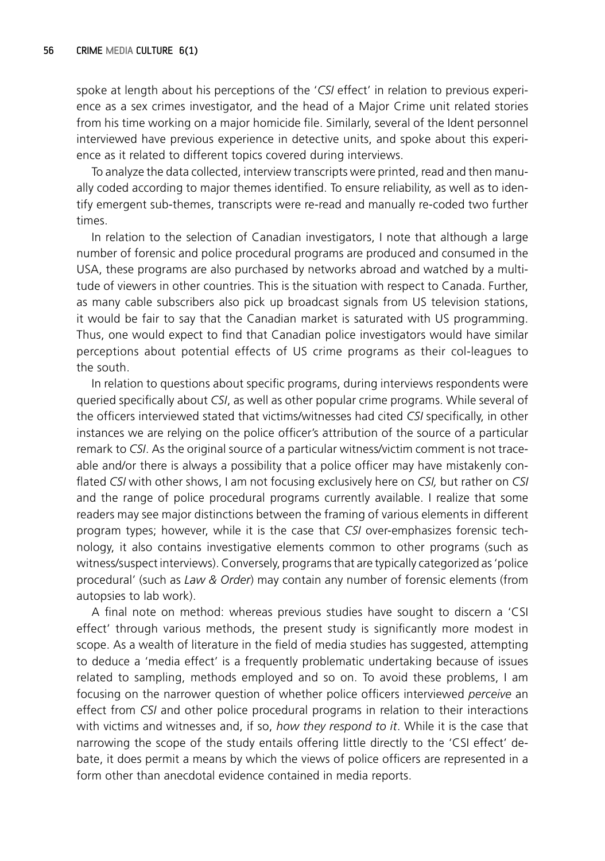spoke at length about his perceptions of the '*CSI* effect' in relation to previous experience as a sex crimes investigator, and the head of a Major Crime unit related stories from his time working on a major homicide file. Similarly, several of the Ident personnel interviewed have previous experience in detective units, and spoke about this experience as it related to different topics covered during interviews.

To analyze the data collected, interview transcripts were printed, read and then manually coded according to major themes identified. To ensure reliability, as well as to identify emergent sub-themes, transcripts were re-read and manually re-coded two further times.

In relation to the selection of Canadian investigators, I note that although a large number of forensic and police procedural programs are produced and consumed in the USA, these programs are also purchased by networks abroad and watched by a multitude of viewers in other countries. This is the situation with respect to Canada. Further, as many cable subscribers also pick up broadcast signals from US television stations, it would be fair to say that the Canadian market is saturated with US programming. Thus, one would expect to find that Canadian police investigators would have similar perceptions about potential effects of US crime programs as their col-leagues to the south.

In relation to questions about specific programs, during interviews respondents were queried specifi cally about *CSI*, as well as other popular crime programs. While several of the officers interviewed stated that victims/witnesses had cited CSI specifically, in other instances we are relying on the police officer's attribution of the source of a particular remark to *CSI*. As the original source of a particular witness/victim comment is not traceable and/or there is always a possibility that a police officer may have mistakenly conflated *CSI* with other shows, I am not focusing exclusively here on *CSI*, but rather on *CSI* and the range of police procedural programs currently available. I realize that some readers may see major distinctions between the framing of various elements in different program types; however, while it is the case that *CSI* over-emphasizes forensic technology, it also contains investigative elements common to other programs (such as witness/suspect interviews). Conversely, programs that are typically categorized as 'police procedural' (such as *Law & Order*) may contain any number of forensic elements (from autopsies to lab work).

A final note on method: whereas previous studies have sought to discern a 'CSI effect' through various methods, the present study is significantly more modest in scope. As a wealth of literature in the field of media studies has suggested, attempting to deduce a 'media effect' is a frequently problematic undertaking because of issues related to sampling, methods employed and so on. To avoid these problems, I am focusing on the narrower question of whether police officers interviewed *perceive* an effect from *CSI* and other police procedural programs in relation to their interactions with victims and witnesses and, if so, *how they respond to it*. While it is the case that narrowing the scope of the study entails offering little directly to the 'CSI effect' debate, it does permit a means by which the views of police officers are represented in a form other than anecdotal evidence contained in media reports.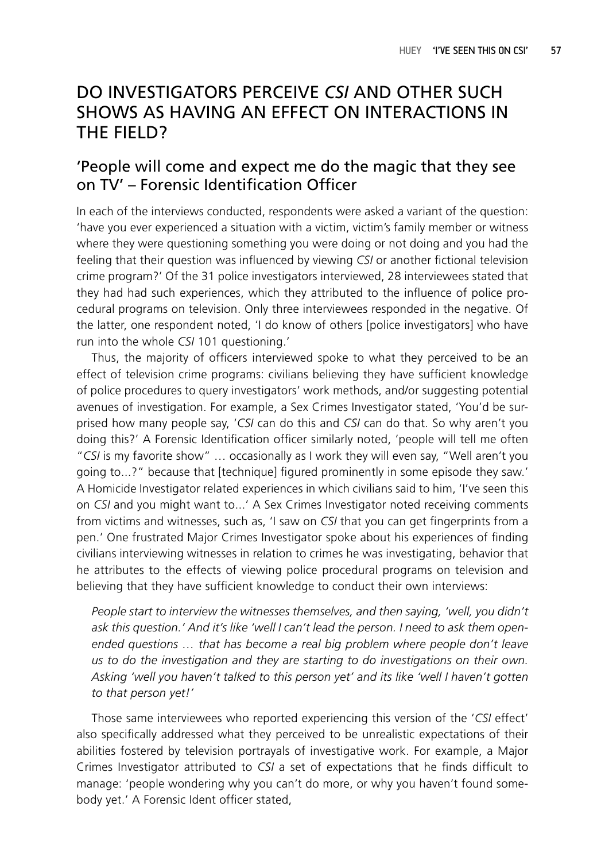### DO INVESTIGATORS PERCEIVE *CSI* AND OTHER SUCH SHOWS AS HAVING AN EFFECT ON INTERACTIONS IN THE FIELD?

### 'People will come and expect me do the magic that they see on TV' – Forensic Identification Officer

In each of the interviews conducted, respondents were asked a variant of the question: 'have you ever experienced a situation with a victim, victim's family member or witness where they were questioning something you were doing or not doing and you had the feeling that their question was influenced by viewing *CSI* or another fictional television crime program?' Of the 31 police investigators interviewed, 28 interviewees stated that they had had such experiences, which they attributed to the influence of police procedural programs on television. Only three interviewees responded in the negative. Of the latter, one respondent noted, 'I do know of others [police investigators] who have run into the whole *CSI* 101 questioning.'

Thus, the majority of officers interviewed spoke to what they perceived to be an effect of television crime programs: civilians believing they have sufficient knowledge of police procedures to query investigators' work methods, and/or suggesting potential avenues of investigation. For example, a Sex Crimes Investigator stated, 'You'd be surprised how many people say, '*CSI* can do this and *CSI* can do that. So why aren't you doing this?' A Forensic Identification officer similarly noted, 'people will tell me often "*CSI* is my favorite show" … occasionally as I work they will even say, "Well aren't you going to...?" because that [technique] figured prominently in some episode they saw.' A Homicide Investigator related experiences in which civilians said to him, 'I've seen this on *CSI* and you might want to...' A Sex Crimes Investigator noted receiving comments from victims and witnesses, such as, 'I saw on *CSI* that you can get fingerprints from a pen.' One frustrated Major Crimes Investigator spoke about his experiences of finding civilians interviewing witnesses in relation to crimes he was investigating, behavior that he attributes to the effects of viewing police procedural programs on television and believing that they have sufficient knowledge to conduct their own interviews:

*People start to interview the witnesses themselves, and then saying, 'well, you didn't ask this question.' And it's like 'well I can't lead the person. I need to ask them openended questions … that has become a real big problem where people don't leave us to do the investigation and they are starting to do investigations on their own. Asking 'well you haven't talked to this person yet' and its like 'well I haven't gotten to that person yet!'*

Those same interviewees who reported experiencing this version of the '*CSI* effect' also specifically addressed what they perceived to be unrealistic expectations of their abilities fostered by television portrayals of investigative work. For example, a Major Crimes Investigator attributed to CSI a set of expectations that he finds difficult to manage: 'people wondering why you can't do more, or why you haven't found somebody yet.' A Forensic Ident officer stated,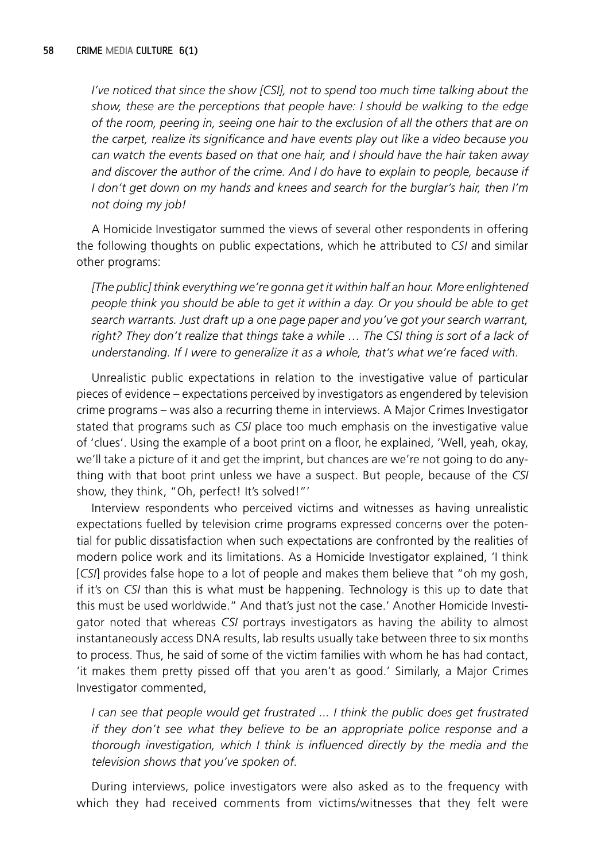*I've noticed that since the show [CSI], not to spend too much time talking about the show, these are the perceptions that people have: I should be walking to the edge of the room, peering in, seeing one hair to the exclusion of all the others that are on*  the carpet, realize its significance and have events play out like a video because you *can watch the events based on that one hair, and I should have the hair taken away and discover the author of the crime. And I do have to explain to people, because if I don't get down on my hands and knees and search for the burglar's hair, then I'm not doing my job!*

A Homicide Investigator summed the views of several other respondents in offering the following thoughts on public expectations, which he attributed to *CSI* and similar other programs:

*[The public] think everything we're gonna get it within half an hour. More enlightened people think you should be able to get it within a day. Or you should be able to get search warrants. Just draft up a one page paper and you've got your search warrant, right? They don't realize that things take a while … The CSI thing is sort of a lack of understanding. If I were to generalize it as a whole, that's what we're faced with.*

Unrealistic public expectations in relation to the investigative value of particular pieces of evidence – expectations perceived by investigators as engendered by television crime programs – was also a recurring theme in interviews. A Major Crimes Investigator stated that programs such as *CSI* place too much emphasis on the investigative value of 'clues'. Using the example of a boot print on a floor, he explained, 'Well, yeah, okay, we'll take a picture of it and get the imprint, but chances are we're not going to do anything with that boot print unless we have a suspect. But people, because of the *CSI* show, they think, "Oh, perfect! It's solved!"'

Interview respondents who perceived victims and witnesses as having unrealistic expectations fuelled by television crime programs expressed concerns over the potential for public dissatisfaction when such expectations are confronted by the realities of modern police work and its limitations. As a Homicide Investigator explained, 'I think [*CSI*] provides false hope to a lot of people and makes them believe that "oh my gosh, if it's on *CSI* than this is what must be happening. Technology is this up to date that this must be used worldwide." And that's just not the case.' Another Homicide Investigator noted that whereas *CSI* portrays investigators as having the ability to almost instantaneously access DNA results, lab results usually take between three to six months to process. Thus, he said of some of the victim families with whom he has had contact, 'it makes them pretty pissed off that you aren't as good.' Similarly, a Major Crimes Investigator commented,

*I* can see that people would get frustrated ... I think the public does get frustrated *if they don't see what they believe to be an appropriate police response and a thorough investigation, which I think is infl uenced directly by the media and the television shows that you've spoken of.*

During interviews, police investigators were also asked as to the frequency with which they had received comments from victims/witnesses that they felt were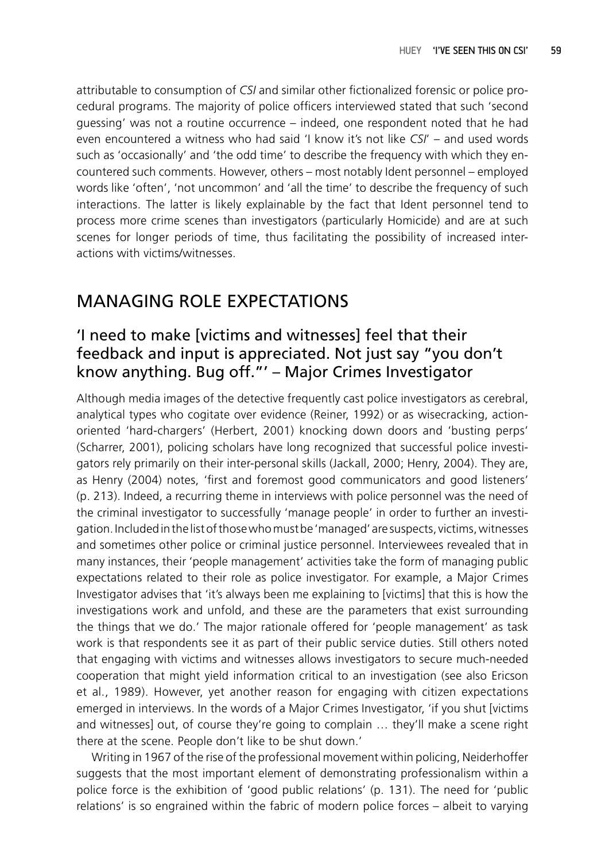attributable to consumption of *CSI* and similar other fictionalized forensic or police procedural programs. The majority of police officers interviewed stated that such 'second guessing' was not a routine occurrence – indeed, one respondent noted that he had even encountered a witness who had said 'I know it's not like *CSI*' – and used words such as 'occasionally' and 'the odd time' to describe the frequency with which they encountered such comments. However, others – most notably Ident personnel – employed words like 'often', 'not uncommon' and 'all the time' to describe the frequency of such interactions. The latter is likely explainable by the fact that Ident personnel tend to process more crime scenes than investigators (particularly Homicide) and are at such scenes for longer periods of time, thus facilitating the possibility of increased interactions with victims/witnesses.

# MANAGING ROLE EXPECTATIONS

### 'I need to make [victims and witnesses] feel that their feedback and input is appreciated. Not just say "you don't know anything. Bug off."' – Major Crimes Investigator

Although media images of the detective frequently cast police investigators as cerebral, analytical types who cogitate over evidence (Reiner, 1992) or as wisecracking, actionoriented 'hard-chargers' (Herbert, 2001) knocking down doors and 'busting perps' (Scharrer, 2001), policing scholars have long recognized that successful police investigators rely primarily on their inter-personal skills (Jackall, 2000; Henry, 2004). They are, as Henry (2004) notes, 'first and foremost good communicators and good listeners' (p. 213). Indeed, a recurring theme in interviews with police personnel was the need of the criminal investigator to successfully 'manage people' in order to further an investigation. Included in the list of those who must be 'managed' are suspects, victims, witnesses and sometimes other police or criminal justice personnel. Interviewees revealed that in many instances, their 'people management' activities take the form of managing public expectations related to their role as police investigator. For example, a Major Crimes Investigator advises that 'it's always been me explaining to [victims] that this is how the investigations work and unfold, and these are the parameters that exist surrounding the things that we do.' The major rationale offered for 'people management' as task work is that respondents see it as part of their public service duties. Still others noted that engaging with victims and witnesses allows investigators to secure much-needed cooperation that might yield information critical to an investigation (see also Ericson et al., 1989). However, yet another reason for engaging with citizen expectations emerged in interviews. In the words of a Major Crimes Investigator, 'if you shut [victims and witnesses] out, of course they're going to complain … they'll make a scene right there at the scene. People don't like to be shut down.'

Writing in 1967 of the rise of the professional movement within policing, Neiderhoffer suggests that the most important element of demonstrating professionalism within a police force is the exhibition of 'good public relations' (p. 131). The need for 'public relations' is so engrained within the fabric of modern police forces – albeit to varying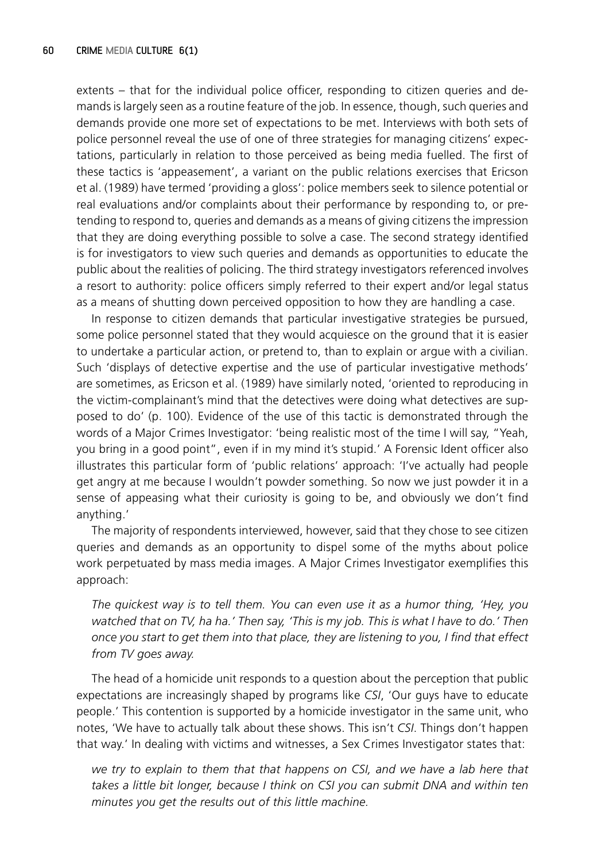extents – that for the individual police officer, responding to citizen queries and demands is largely seen as a routine feature of the job. In essence, though, such queries and demands provide one more set of expectations to be met. Interviews with both sets of police personnel reveal the use of one of three strategies for managing citizens' expectations, particularly in relation to those perceived as being media fuelled. The first of these tactics is 'appeasement', a variant on the public relations exercises that Ericson et al. (1989) have termed 'providing a gloss': police members seek to silence potential or real evaluations and/or complaints about their performance by responding to, or pretending to respond to, queries and demands as a means of giving citizens the impression that they are doing everything possible to solve a case. The second strategy identified is for investigators to view such queries and demands as opportunities to educate the public about the realities of policing. The third strategy investigators referenced involves a resort to authority: police officers simply referred to their expert and/or legal status as a means of shutting down perceived opposition to how they are handling a case.

In response to citizen demands that particular investigative strategies be pursued, some police personnel stated that they would acquiesce on the ground that it is easier to undertake a particular action, or pretend to, than to explain or argue with a civilian. Such 'displays of detective expertise and the use of particular investigative methods' are sometimes, as Ericson et al. (1989) have similarly noted, 'oriented to reproducing in the victim-complainant's mind that the detectives were doing what detectives are supposed to do' (p. 100). Evidence of the use of this tactic is demonstrated through the words of a Major Crimes Investigator: 'being realistic most of the time I will say, "Yeah, you bring in a good point", even if in my mind it's stupid.' A Forensic Ident officer also illustrates this particular form of 'public relations' approach: 'I've actually had people get angry at me because I wouldn't powder something. So now we just powder it in a sense of appeasing what their curiosity is going to be, and obviously we don't find anything.'

The majority of respondents interviewed, however, said that they chose to see citizen queries and demands as an opportunity to dispel some of the myths about police work perpetuated by mass media images. A Major Crimes Investigator exemplifies this approach:

*The quickest way is to tell them. You can even use it as a humor thing, 'Hey, you watched that on TV, ha ha.' Then say, 'This is my job. This is what I have to do.' Then once you start to get them into that place, they are listening to you, I find that effect from TV goes away.*

The head of a homicide unit responds to a question about the perception that public expectations are increasingly shaped by programs like *CSI*, 'Our guys have to educate people.' This contention is supported by a homicide investigator in the same unit, who notes, 'We have to actually talk about these shows. This isn't *CSI*. Things don't happen that way.' In dealing with victims and witnesses, a Sex Crimes Investigator states that:

*we try to explain to them that that happens on CSI, and we have a lab here that takes a little bit longer, because I think on CSI you can submit DNA and within ten minutes you get the results out of this little machine.*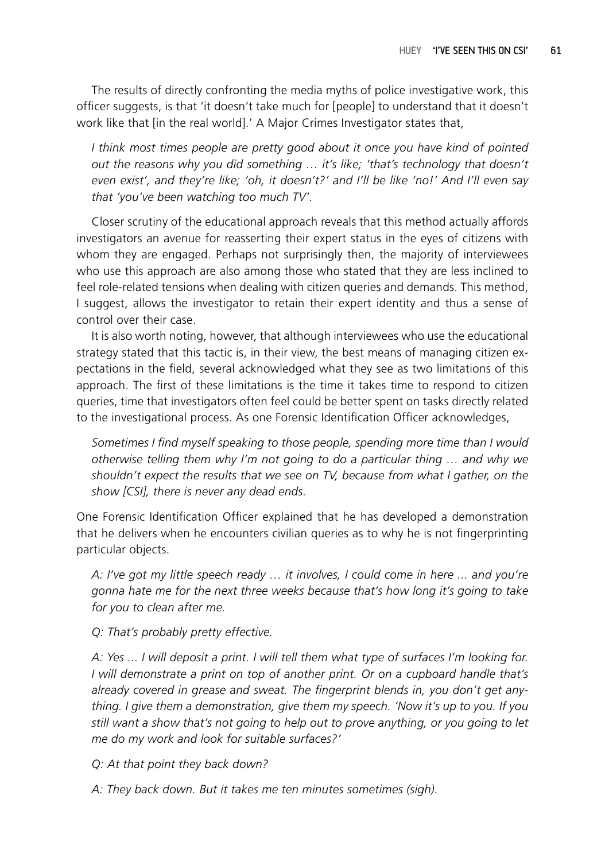The results of directly confronting the media myths of police investigative work, this officer suggests, is that 'it doesn't take much for [people] to understand that it doesn't work like that [in the real world].' A Major Crimes Investigator states that,

*I think most times people are pretty good about it once you have kind of pointed out the reasons why you did something … it's like; 'that's technology that doesn't even exist', and they're like; 'oh, it doesn't?' and I'll be like 'no!' And I'll even say that 'you've been watching too much TV'.*

Closer scrutiny of the educational approach reveals that this method actually affords investigators an avenue for reasserting their expert status in the eyes of citizens with whom they are engaged. Perhaps not surprisingly then, the majority of interviewees who use this approach are also among those who stated that they are less inclined to feel role-related tensions when dealing with citizen queries and demands. This method, I suggest, allows the investigator to retain their expert identity and thus a sense of control over their case.

It is also worth noting, however, that although interviewees who use the educational strategy stated that this tactic is, in their view, the best means of managing citizen expectations in the field, several acknowledged what they see as two limitations of this approach. The first of these limitations is the time it takes time to respond to citizen queries, time that investigators often feel could be better spent on tasks directly related to the investigational process. As one Forensic Identification Officer acknowledges,

Sometimes I find myself speaking to those people, spending more time than I would *otherwise telling them why I'm not going to do a particular thing … and why we shouldn't expect the results that we see on TV, because from what I gather, on the show [CSI], there is never any dead ends.*

One Forensic Identification Officer explained that he has developed a demonstration that he delivers when he encounters civilian queries as to why he is not fingerprinting particular objects.

*A: I've got my little speech ready … it involves, I could come in here ... and you're gonna hate me for the next three weeks because that's how long it's going to take for you to clean after me.*

*Q: That's probably pretty effective.*

*A: Yes ... I will deposit a print. I will tell them what type of surfaces I'm looking for. I* will demonstrate a print on top of another print. Or on a cupboard handle that's already covered in grease and sweat. The fingerprint blends in, you don't get any*thing. I give them a demonstration, give them my speech. 'Now it's up to you. If you still want a show that's not going to help out to prove anything, or you going to let me do my work and look for suitable surfaces?'*

*Q: At that point they back down?*

*A: They back down. But it takes me ten minutes sometimes (sigh).*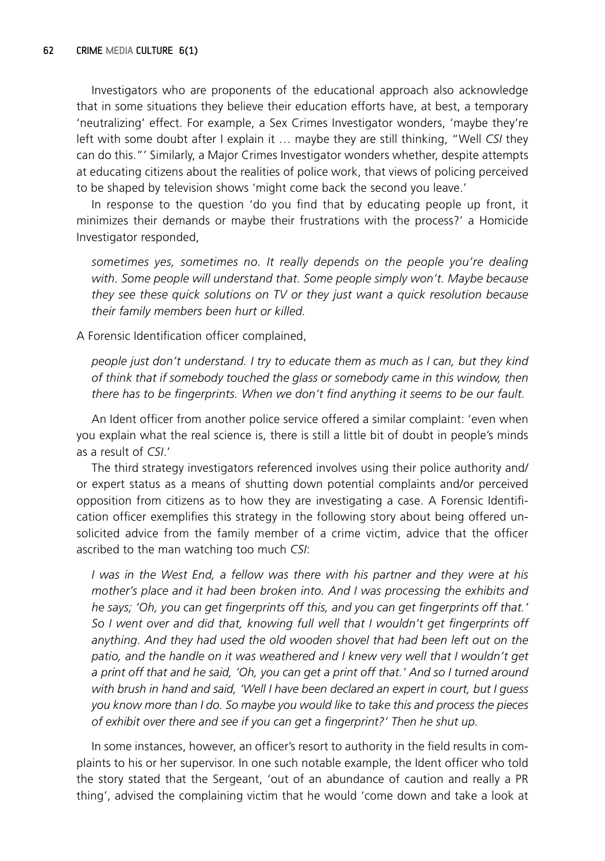Investigators who are proponents of the educational approach also acknowledge that in some situations they believe their education efforts have, at best, a temporary 'neutralizing' effect. For example, a Sex Crimes Investigator wonders, 'maybe they're left with some doubt after I explain it … maybe they are still thinking, "Well *CSI* they can do this."' Similarly, a Major Crimes Investigator wonders whether, despite attempts at educating citizens about the realities of police work, that views of policing perceived to be shaped by television shows 'might come back the second you leave.'

In response to the question 'do you find that by educating people up front, it minimizes their demands or maybe their frustrations with the process?' a Homicide Investigator responded,

*sometimes yes, sometimes no. It really depends on the people you're dealing with. Some people will understand that. Some people simply won't. Maybe because they see these quick solutions on TV or they just want a quick resolution because their family members been hurt or killed.*

A Forensic Identification officer complained,

*people just don't understand. I try to educate them as much as I can, but they kind of think that if somebody touched the glass or somebody came in this window, then there has to be fingerprints. When we don't find anything it seems to be our fault.* 

An Ident officer from another police service offered a similar complaint: 'even when you explain what the real science is, there is still a little bit of doubt in people's minds as a result of *CSI*.'

The third strategy investigators referenced involves using their police authority and/ or expert status as a means of shutting down potential complaints and/or perceived opposition from citizens as to how they are investigating a case. A Forensic Identification officer exemplifies this strategy in the following story about being offered unsolicited advice from the family member of a crime victim, advice that the officer ascribed to the man watching too much *CSI*:

*I* was in the West End, a fellow was there with his partner and they were at his *mother's place and it had been broken into. And I was processing the exhibits and*  he says; 'Oh, you can get fingerprints off this, and you can get fingerprints off that.' So I went over and did that, knowing full well that I wouldn't get fingerprints off anything. And they had used the old wooden shovel that had been left out on the *patio, and the handle on it was weathered and I knew very well that I wouldn't get a print off that and he said, 'Oh, you can get a print off that.' And so I turned around with brush in hand and said, 'Well I have been declared an expert in court, but I guess you know more than I do. So maybe you would like to take this and process the pieces*  of exhibit over there and see if you can get a fingerprint?' Then he shut up.

In some instances, however, an officer's resort to authority in the field results in complaints to his or her supervisor. In one such notable example, the Ident officer who told the story stated that the Sergeant, 'out of an abundance of caution and really a PR thing', advised the complaining victim that he would 'come down and take a look at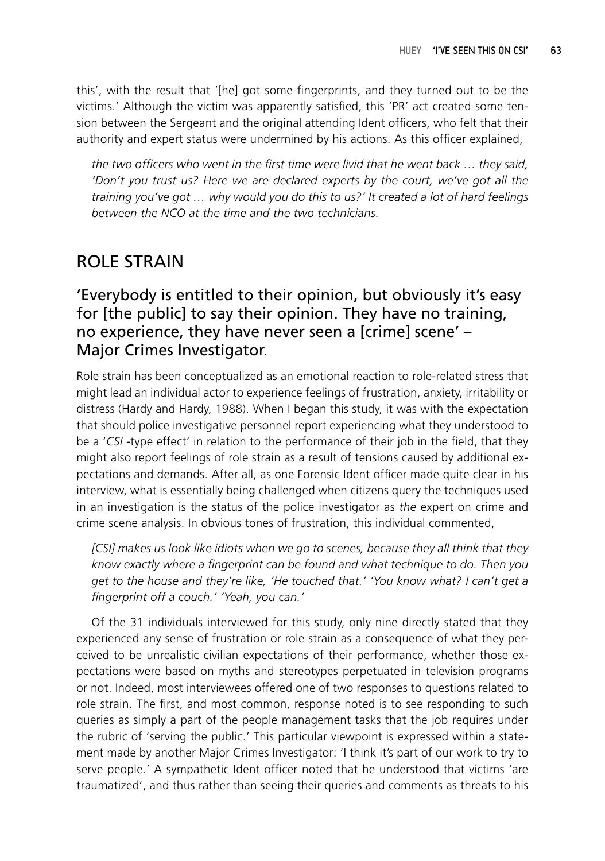this', with the result that '[he] got some fingerprints, and they turned out to be the victims.' Although the victim was apparently satisfied, this 'PR' act created some tension between the Sergeant and the original attending Ident officers, who felt that their authority and expert status were undermined by his actions. As this officer explained,

the two officers who went in the first time were livid that he went back ... they said, 'Don't you trust us? Here we are declared experts by the court, we've got all the *training you've got … why would you do this to us?' It created a lot of hard feelings between the NCO at the time and the two technicians.*

### ROLE STRAIN

### 'Everybody is entitled to their opinion, but obviously it's easy for [the public] to say their opinion. They have no training, no experience, they have never seen a [crime] scene' – Major Crimes Investigator.

Role strain has been conceptualized as an emotional reaction to role-related stress that might lead an individual actor to experience feelings of frustration, anxiety, irritability or distress (Hardy and Hardy, 1988). When I began this study, it was with the expectation that should police investigative personnel report experiencing what they understood to be a 'CSI-type effect' in relation to the performance of their job in the field, that they might also report feelings of role strain as a result of tensions caused by additional expectations and demands. After all, as one Forensic Ident officer made quite clear in his interview, what is essentially being challenged when citizens query the techniques used in an investigation is the status of the police investigator as *the* expert on crime and crime scene analysis. In obvious tones of frustration, this individual commented,

*[CSI] makes us look like idiots when we go to scenes, because they all think that they*  know exactly where a fingerprint can be found and what technique to do. Then you *get to the house and they're like, 'He touched that.' 'You know what? I can't get a fi ngerprint off a couch.' 'Yeah, you can.'*

Of the 31 individuals interviewed for this study, only nine directly stated that they experienced any sense of frustration or role strain as a consequence of what they perceived to be unrealistic civilian expectations of their performance, whether those expectations were based on myths and stereotypes perpetuated in television programs or not. Indeed, most interviewees offered one of two responses to questions related to role strain. The first, and most common, response noted is to see responding to such queries as simply a part of the people management tasks that the job requires under the rubric of 'serving the public.' This particular viewpoint is expressed within a statement made by another Major Crimes Investigator: 'I think it's part of our work to try to serve people.' A sympathetic Ident officer noted that he understood that victims 'are traumatized', and thus rather than seeing their queries and comments as threats to his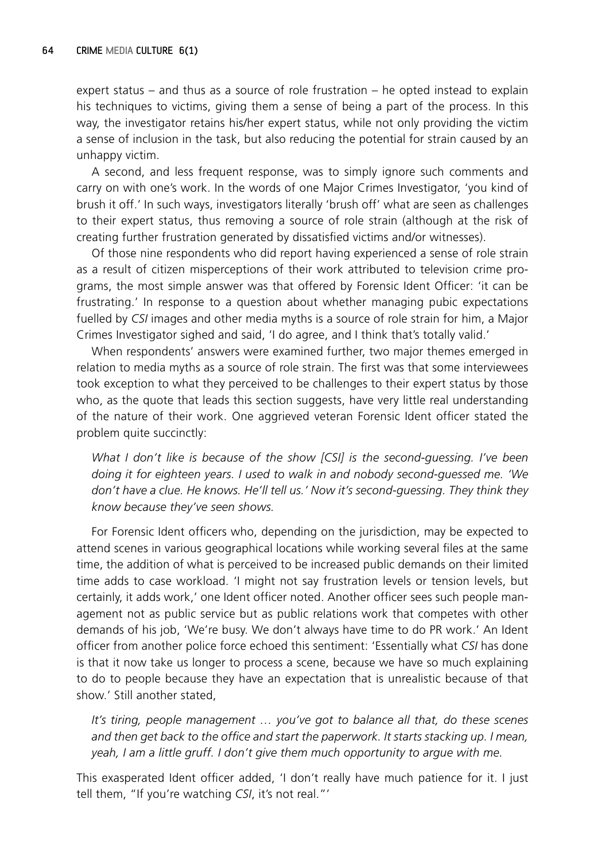expert status – and thus as a source of role frustration – he opted instead to explain his techniques to victims, giving them a sense of being a part of the process. In this way, the investigator retains his/her expert status, while not only providing the victim a sense of inclusion in the task, but also reducing the potential for strain caused by an unhappy victim.

A second, and less frequent response, was to simply ignore such comments and carry on with one's work. In the words of one Major Crimes Investigator, 'you kind of brush it off.' In such ways, investigators literally 'brush off' what are seen as challenges to their expert status, thus removing a source of role strain (although at the risk of creating further frustration generated by dissatisfied victims and/or witnesses).

Of those nine respondents who did report having experienced a sense of role strain as a result of citizen misperceptions of their work attributed to television crime programs, the most simple answer was that offered by Forensic Ident Officer: 'it can be frustrating.' In response to a question about whether managing pubic expectations fuelled by *CSI* images and other media myths is a source of role strain for him, a Major Crimes Investigator sighed and said, 'I do agree, and I think that's totally valid.'

When respondents' answers were examined further, two major themes emerged in relation to media myths as a source of role strain. The first was that some interviewees took exception to what they perceived to be challenges to their expert status by those who, as the quote that leads this section suggests, have very little real understanding of the nature of their work. One aggrieved veteran Forensic Ident officer stated the problem quite succinctly:

*What I don't like is because of the show [CSI] is the second-guessing. I've been doing it for eighteen years. I used to walk in and nobody second-guessed me. 'We don't have a clue. He knows. He'll tell us.' Now it's second-guessing. They think they know because they've seen shows.*

For Forensic Ident officers who, depending on the jurisdiction, may be expected to attend scenes in various geographical locations while working several files at the same time, the addition of what is perceived to be increased public demands on their limited time adds to case workload. 'I might not say frustration levels or tension levels, but certainly, it adds work,' one Ident officer noted. Another officer sees such people management not as public service but as public relations work that competes with other demands of his job, 'We're busy. We don't always have time to do PR work.' An Ident officer from another police force echoed this sentiment: 'Essentially what CSI has done is that it now take us longer to process a scene, because we have so much explaining to do to people because they have an expectation that is unrealistic because of that show.' Still another stated,

It's tiring, people management ... you've got to balance all that, do these scenes and then get back to the office and start the paperwork. It starts stacking up. I mean, *yeah, I am a little gruff. I don't give them much opportunity to argue with me.*

This exasperated Ident officer added, 'I don't really have much patience for it. I just tell them, "If you're watching *CSI*, it's not real."'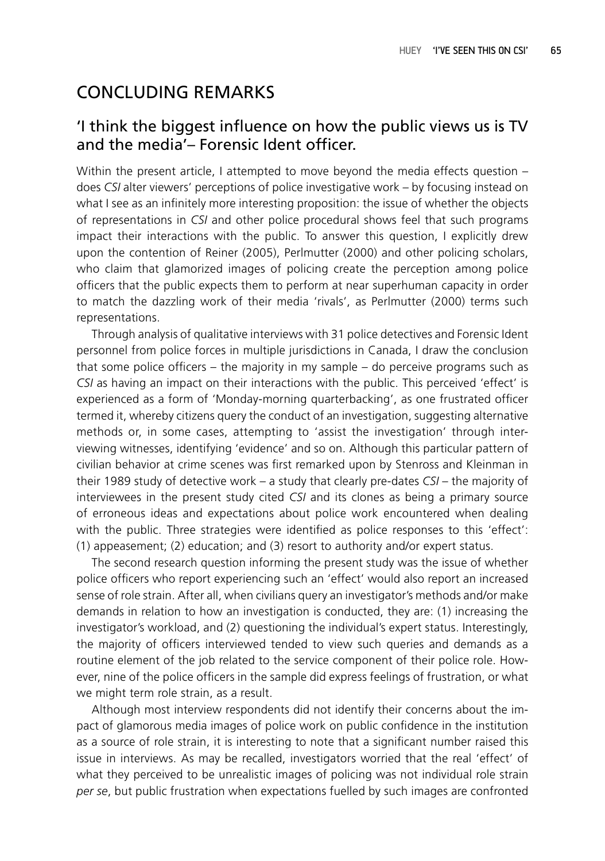### CONCLUDING REMARKS

#### 'I think the biggest influence on how the public views us is TV and the media'– Forensic Ident officer.

Within the present article, I attempted to move beyond the media effects question – does *CSI* alter viewers' perceptions of police investigative work – by focusing instead on what I see as an infinitely more interesting proposition: the issue of whether the objects of representations in *CSI* and other police procedural shows feel that such programs impact their interactions with the public. To answer this question, I explicitly drew upon the contention of Reiner (2005), Perlmutter (2000) and other policing scholars, who claim that glamorized images of policing create the perception among police officers that the public expects them to perform at near superhuman capacity in order to match the dazzling work of their media 'rivals', as Perlmutter (2000) terms such representations.

Through analysis of qualitative interviews with 31 police detectives and Forensic Ident personnel from police forces in multiple jurisdictions in Canada, I draw the conclusion that some police officers  $-$  the majority in my sample  $-$  do perceive programs such as *CSI* as having an impact on their interactions with the public. This perceived 'effect' is experienced as a form of 'Monday-morning quarterbacking', as one frustrated officer termed it, whereby citizens query the conduct of an investigation, suggesting alternative methods or, in some cases, attempting to 'assist the investigation' through interviewing witnesses, identifying 'evidence' and so on. Although this particular pattern of civilian behavior at crime scenes was first remarked upon by Stenross and Kleinman in their 1989 study of detective work – a study that clearly pre-dates *CSI* – the majority of interviewees in the present study cited *CSI* and its clones as being a primary source of erroneous ideas and expectations about police work encountered when dealing with the public. Three strategies were identified as police responses to this 'effect': (1) appeasement; (2) education; and (3) resort to authority and/or expert status.

The second research question informing the present study was the issue of whether police officers who report experiencing such an 'effect' would also report an increased sense of role strain. After all, when civilians query an investigator's methods and/or make demands in relation to how an investigation is conducted, they are: (1) increasing the investigator's workload, and (2) questioning the individual's expert status. Interestingly, the majority of officers interviewed tended to view such queries and demands as a routine element of the job related to the service component of their police role. However, nine of the police officers in the sample did express feelings of frustration, or what we might term role strain, as a result.

Although most interview respondents did not identify their concerns about the impact of glamorous media images of police work on public confidence in the institution as a source of role strain, it is interesting to note that a significant number raised this issue in interviews. As may be recalled, investigators worried that the real 'effect' of what they perceived to be unrealistic images of policing was not individual role strain *per se*, but public frustration when expectations fuelled by such images are confronted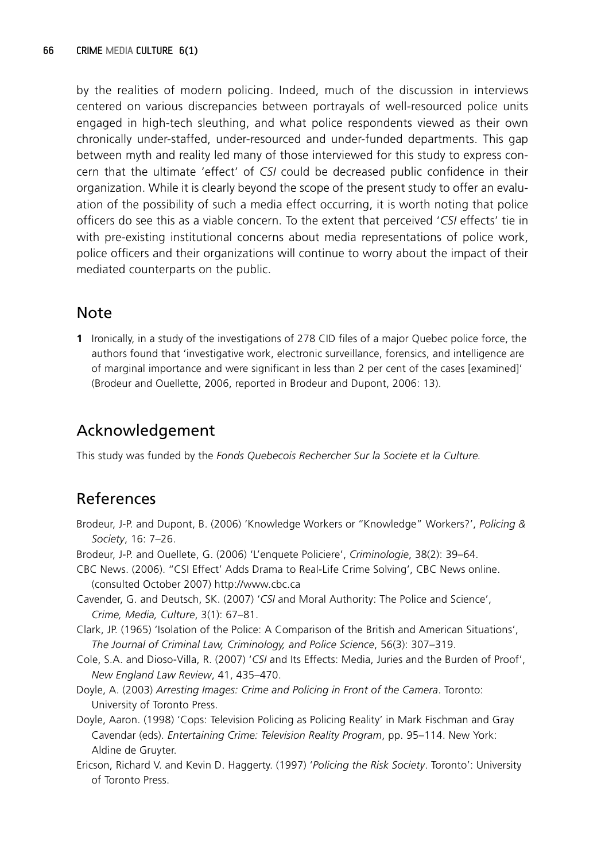by the realities of modern policing. Indeed, much of the discussion in interviews centered on various discrepancies between portrayals of well-resourced police units engaged in high-tech sleuthing, and what police respondents viewed as their own chronically under-staffed, under-resourced and under-funded departments. This gap between myth and reality led many of those interviewed for this study to express concern that the ultimate 'effect' of CSI could be decreased public confidence in their organization. While it is clearly beyond the scope of the present study to offer an evaluation of the possibility of such a media effect occurring, it is worth noting that police offi cers do see this as a viable concern. To the extent that perceived '*CSI* effects' tie in with pre-existing institutional concerns about media representations of police work, police officers and their organizations will continue to worry about the impact of their mediated counterparts on the public.

#### **Note**

**1** Ironically, in a study of the investigations of 278 CID files of a major Quebec police force, the authors found that 'investigative work, electronic surveillance, forensics, and intelligence are of marginal importance and were significant in less than 2 per cent of the cases [examined]' (Brodeur and Ouellette, 2006, reported in Brodeur and Dupont, 2006: 13).

## Acknowledgement

This study was funded by the *Fonds Quebecois Rechercher Sur la Societe et la Culture.*

### References

- Brodeur, J-P. and Dupont, B. (2006) 'Knowledge Workers or ''Knowledge" Workers?', *Policing & Society*, 16: 7–26.
- Brodeur, J-P. and Ouellete, G. (2006) 'L'enquete Policiere', *Criminologie*, 38(2): 39–64.
- CBC News. (2006). ''CSI Effect' Adds Drama to Real-Life Crime Solving', CBC News online. (consulted October 2007) http://www.cbc.ca
- Cavender, G. and Deutsch, SK. (2007) '*CSI* and Moral Authority: The Police and Science', *Crime, Media, Culture*, 3(1): 67–81.
- Clark, JP. (1965) 'Isolation of the Police: A Comparison of the British and American Situations', *The Journal of Criminal Law, Criminology, and Police Science*, 56(3): 307–319.
- Cole, S.A. and Dioso-Villa, R. (2007) '*CSI* and Its Effects: Media, Juries and the Burden of Proof', *New England Law Review*, 41, 435–470.
- Doyle, A. (2003) *Arresting Images: Crime and Policing in Front of the Camera*. Toronto: University of Toronto Press.
- Doyle, Aaron. (1998) 'Cops: Television Policing as Policing Reality' in Mark Fischman and Gray Cavendar (eds). *Entertaining Crime: Television Reality Program*, pp. 95–114. New York: Aldine de Gruyter.
- Ericson, Richard V. and Kevin D. Haggerty. (1997) '*Policing the Risk Society*. Toronto': University of Toronto Press.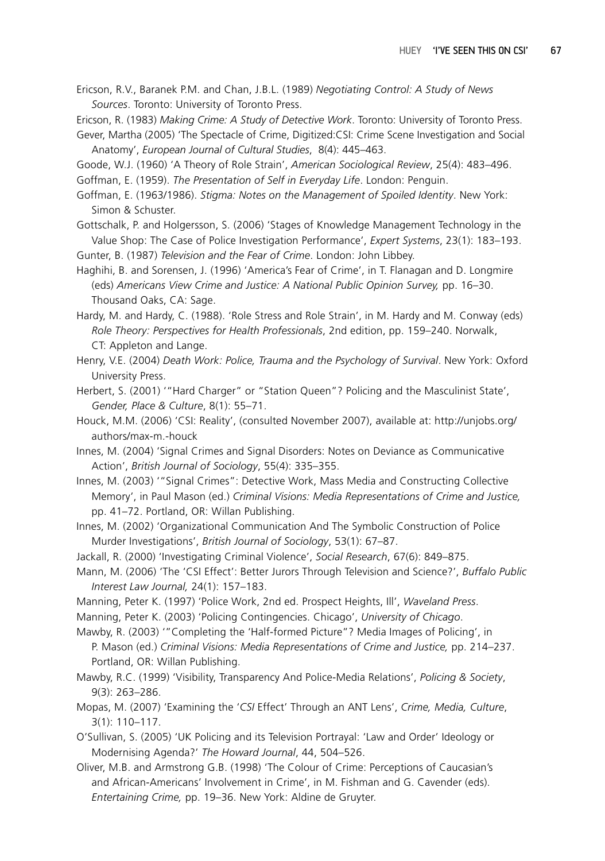- Ericson, R.V., Baranek P.M. and Chan, J.B.L. (1989) *Negotiating Control: A Study of News Sources*. Toronto: University of Toronto Press.
- Ericson, R. (1983) *Making Crime: A Study of Detective Work*. Toronto: University of Toronto Press.
- Gever, Martha (2005) 'The Spectacle of Crime, Digitized:CSI: Crime Scene Investigation and Social Anatomy', *European Journal of Cultural Studies*, 8(4): 445–463.
- Goode, W.J. (1960) 'A Theory of Role Strain', *American Sociological Review*, 25(4): 483–496.
- Goffman, E. (1959). *The Presentation of Self in Everyday Life*. London: Penguin.
- Goffman, E. (1963/1986). *Stigma: Notes on the Management of Spoiled Identity*. New York: Simon & Schuster.
- Gottschalk, P. and Holgersson, S. (2006) 'Stages of Knowledge Management Technology in the Value Shop: The Case of Police Investigation Performance', *Expert Systems*, 23(1): 183–193.
- Gunter, B. (1987) *Television and the Fear of Crime*. London: John Libbey.
- Haghihi, B. and Sorensen, J. (1996) 'America's Fear of Crime', in T. Flanagan and D. Longmire (eds) *Americans View Crime and Justice: A National Public Opinion Survey,* pp. 16–30. Thousand Oaks, CA: Sage.
- Hardy, M. and Hardy, C. (1988). 'Role Stress and Role Strain', in M. Hardy and M. Conway (eds) *Role Theory: Perspectives for Health Professionals*, 2nd edition, pp. 159–240. Norwalk, CT: Appleton and Lange.
- Henry, V.E. (2004) *Death Work: Police, Trauma and the Psychology of Survival*. New York: Oxford University Press.
- Herbert, S. (2001) '"Hard Charger" or "Station Queen"? Policing and the Masculinist State', *Gender, Place & Culture*, 8(1): 55–71.
- Houck, M.M. (2006) 'CSI: Reality', (consulted November 2007), available at: http://unjobs.org/ authors/max-m.-houck
- Innes, M. (2004) 'Signal Crimes and Signal Disorders: Notes on Deviance as Communicative Action', *British Journal of Sociology*, 55(4): 335–355.
- Innes, M. (2003) '"Signal Crimes": Detective Work, Mass Media and Constructing Collective Memory', in Paul Mason (ed.) *Criminal Visions: Media Representations of Crime and Justice,* pp. 41–72. Portland, OR: Willan Publishing.
- Innes, M. (2002) 'Organizational Communication And The Symbolic Construction of Police Murder Investigations', *British Journal of Sociology*, 53(1): 67–87.
- Jackall, R. (2000) 'Investigating Criminal Violence', *Social Research*, 67(6): 849–875.
- Mann, M. (2006) 'The 'CSI Effect': Better Jurors Through Television and Science?', *Buffalo Public Interest Law Journal,* 24(1): 157–183.
- Manning, Peter K. (1997) 'Police Work, 2nd ed. Prospect Heights, Ill', *Waveland Press*.
- Manning, Peter K. (2003) 'Policing Contingencies. Chicago', *University of Chicago*.
- Mawby, R. (2003) '"Completing the 'Half-formed Picture"? Media Images of Policing', in P. Mason (ed.) *Criminal Visions: Media Representations of Crime and Justice,* pp. 214–237. Portland, OR: Willan Publishing.
- Mawby, R.C. (1999) 'Visibility, Transparency And Police-Media Relations', *Policing & Society*, 9(3): 263–286.
- Mopas, M. (2007) 'Examining the '*CSI* Effect' Through an ANT Lens', *Crime, Media, Culture*, 3(1): 110–117.
- O'Sullivan, S. (2005) 'UK Policing and its Television Portrayal: 'Law and Order' Ideology or Modernising Agenda?' *The Howard Journal*, 44, 504–526.
- Oliver, M.B. and Armstrong G.B. (1998) 'The Colour of Crime: Perceptions of Caucasian's and African-Americans' Involvement in Crime', in M. Fishman and G. Cavender (eds). *Entertaining Crime,* pp. 19–36. New York: Aldine de Gruyter.